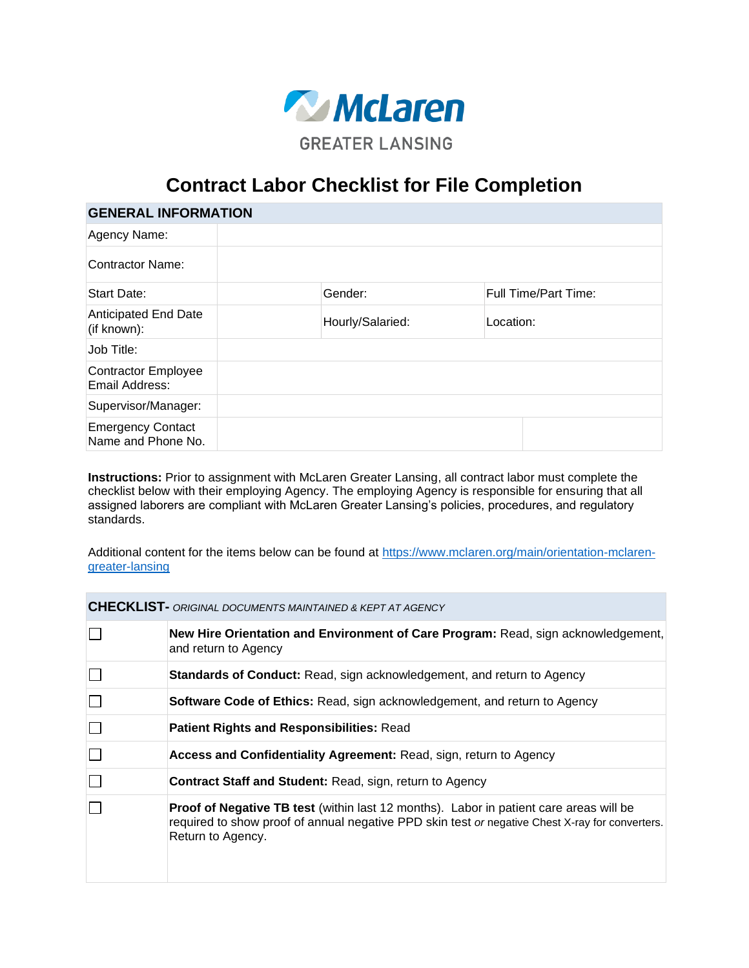

## **Contract Labor Checklist for File Completion**

| <b>GENERAL INFORMATION</b>                     |                  |                             |  |
|------------------------------------------------|------------------|-----------------------------|--|
| Agency Name:                                   |                  |                             |  |
| Contractor Name:                               |                  |                             |  |
| Start Date:                                    | Gender:          | <b>Full Time/Part Time:</b> |  |
| <b>Anticipated End Date</b><br>(if known):     | Hourly/Salaried: | Location:                   |  |
| Job Title:                                     |                  |                             |  |
| Contractor Employee<br>Email Address:          |                  |                             |  |
| Supervisor/Manager:                            |                  |                             |  |
| <b>Emergency Contact</b><br>Name and Phone No. |                  |                             |  |

**Instructions:** Prior to assignment with McLaren Greater Lansing, all contract labor must complete the checklist below with their employing Agency. The employing Agency is responsible for ensuring that all assigned laborers are compliant with McLaren Greater Lansing's policies, procedures, and regulatory standards.

Additional content for the items below can be found at [https://www.mclaren.org/main/orientation-mclaren](https://www.mclaren.org/main/orientation-mclaren-greater-lansing)[greater-lansing](https://www.mclaren.org/main/orientation-mclaren-greater-lansing)

**CHECKLIST-** *ORIGINAL DOCUMENTS MAINTAINED & KEPT AT AGENCY*

| New Hire Orientation and Environment of Care Program: Read, sign acknowledgement,<br>and return to Agency                                                                                                             |
|-----------------------------------------------------------------------------------------------------------------------------------------------------------------------------------------------------------------------|
| Standards of Conduct: Read, sign acknowledgement, and return to Agency                                                                                                                                                |
| <b>Software Code of Ethics:</b> Read, sign acknowledgement, and return to Agency                                                                                                                                      |
| <b>Patient Rights and Responsibilities: Read</b>                                                                                                                                                                      |
| Access and Confidentiality Agreement: Read, sign, return to Agency                                                                                                                                                    |
| <b>Contract Staff and Student: Read, sign, return to Agency</b>                                                                                                                                                       |
| <b>Proof of Negative TB test</b> (within last 12 months). Labor in patient care areas will be<br>required to show proof of annual negative PPD skin test or negative Chest X-ray for converters.<br>Return to Agency. |